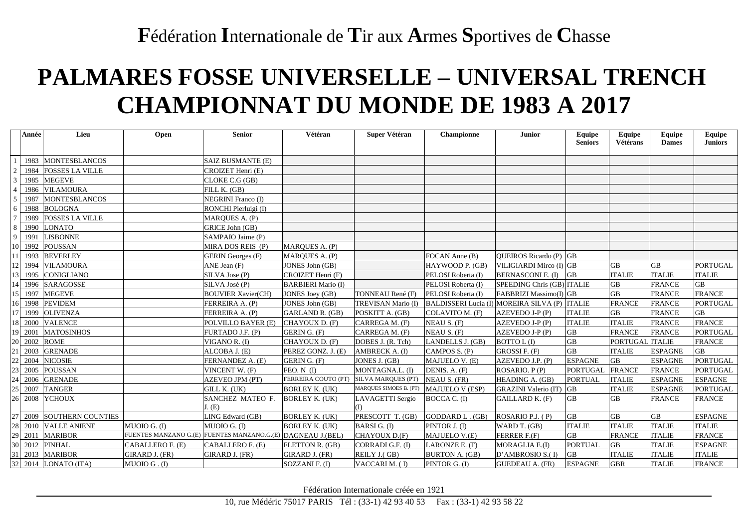### **F**édération **I**nternationale de **T**ir aux **A**rmes **S**portives de **C**hasse

# **PALMARES FOSSE UNIVERSELLE – UNIVERSAL TRENCH CHAMPIONNAT DU MONDE DE 1983 A 2017**

|                 | Année | Lieu                      | Open             | <b>Senior</b>                                               | Vétéran                                | Super Vétéran          | Championne             | <b>Junior</b>                                 | Equipe<br><b>Seniors</b> | Equipe<br>Vétérans | <b>Equipe</b><br><b>Dames</b> | Equipe<br><b>Juniors</b> |
|-----------------|-------|---------------------------|------------------|-------------------------------------------------------------|----------------------------------------|------------------------|------------------------|-----------------------------------------------|--------------------------|--------------------|-------------------------------|--------------------------|
|                 |       |                           |                  |                                                             |                                        |                        |                        |                                               |                          |                    |                               |                          |
|                 |       | 1983 MONTESBLANCOS        |                  | SAIZ BUSMANTE (E)                                           |                                        |                        |                        |                                               |                          |                    |                               |                          |
| $\overline{2}$  |       | 1984 FOSSES LA VILLE      |                  | CROIZET Henri (E)                                           |                                        |                        |                        |                                               |                          |                    |                               |                          |
| $\mathfrak{Z}$  |       | 1985 MEGEVE               |                  | CLOKE C.G (GB)                                              |                                        |                        |                        |                                               |                          |                    |                               |                          |
| $\overline{4}$  |       | 1986 VILAMOURA            |                  | FILL K. (GB)                                                |                                        |                        |                        |                                               |                          |                    |                               |                          |
| 5               | 1987  | <b>MONTESBLANCOS</b>      |                  | <b>NEGRINI</b> Franco (I)                                   |                                        |                        |                        |                                               |                          |                    |                               |                          |
| 6               |       | 1988 BOLOGNA              |                  | RONCHI Pierluigi (I)                                        |                                        |                        |                        |                                               |                          |                    |                               |                          |
| $7\overline{ }$ | 1989  | <b>FOSSES LA VILLE</b>    |                  | MARQUES A. (P)                                              |                                        |                        |                        |                                               |                          |                    |                               |                          |
| 8               | 1990  | <b>LONATO</b>             |                  | GRICE John (GB)                                             |                                        |                        |                        |                                               |                          |                    |                               |                          |
| 9               | 1991  | <b>LISBONNE</b>           |                  | SAMPAIO Jaime (P)                                           |                                        |                        |                        |                                               |                          |                    |                               |                          |
|                 |       | 10 1992 POUSSAN           |                  | MIRA DOS REIS (P)                                           | MARQUES A. (P)                         |                        |                        |                                               |                          |                    |                               |                          |
|                 |       | 11 1993 BEVERLEY          |                  | <b>GERIN</b> Georges (F)                                    | MARQUES A. (P)                         |                        | FOCAN Anne (B)         | QUEIROS Ricardo (P) GB                        |                          |                    |                               |                          |
|                 |       | 12 1994 VILAMOURA         |                  | ANE Jean (F)                                                | JONES John (GB)                        |                        | HAYWOOD P. (GB)        | VILIGIARDI Mirco (I) GB                       |                          | <b>GB</b>          | <b>GB</b>                     | <b>PORTUGAL</b>          |
|                 |       | 13 1995 CONIGLIANO        |                  | SILVA Jose (P)                                              | CROIZET Henri (F)                      |                        | PELOSI Roberta (I)     | <b>BERNASCONI E. (I)</b>                      | GB                       | <b>ITALIE</b>      | <b>ITALIE</b>                 | <b>ITALIE</b>            |
|                 |       | 14 1996 SARAGOSSE         |                  | SILVA José (P)                                              | <b>BARBIERI</b> Mario (I)              |                        | PELOSI Roberta (I)     | SPEEDING Chris (GB) ITALIE                    |                          | <b>GB</b>          | <b>FRANCE</b>                 | <b>GB</b>                |
|                 |       | 15 1997 MEGEVE            |                  | <b>BOUVIER Xavier(CH)</b>                                   | JONES Joey (GB)                        | TONNEAU René (F)       | PELOSI Roberta (I)     | FABBRIZI Massimo(I) GB                        |                          | <b>GB</b>          | <b>FRANCE</b>                 | <b>FRANCE</b>            |
|                 |       | 16 1998 PEVIDEM           |                  | FERREIRA A. (P)                                             | JONES John (GB)                        | TREVISAN Mario (I)     |                        | BALDISSERI Lucia (I) MOREIRA SILVA (P) ITALIE |                          | <b>FRANCE</b>      | <b>FRANCE</b>                 | PORTUGAL                 |
|                 |       | 17 1999 OLIVENZA          |                  | FERREIRA A. (P)                                             | GARLAND R. (GB)                        | POSKITT A. (GB)        | COLAVITO M. (F)        | AZEVEDO J-P (P)                               | <b>ITALIE</b>            | <b>GB</b>          | <b>FRANCE</b>                 | GB                       |
|                 |       | 18 2000 VALENCE           |                  | POLVILLO BAYER (E)                                          | CHAYOUX D. (F)                         | CARREGA M. (F)         | NEAU S. (F)            | AZEVEDO J-P (P)                               | <b>ITALIE</b>            | <b>ITALIE</b>      | <b>FRANCE</b>                 | <b>FRANCE</b>            |
|                 |       | 19 2001 MATOSINHOS        |                  | FURTADO J.F. (P)                                            | GERIN G. (F)                           | CARREGA M. (F)         | NEAU S. (F)            | AZEVEDO J-P (P)                               | GB                       | <b>FRANCE</b>      | <b>FRANCE</b>                 | PORTUGAL                 |
|                 |       | 20 2002 ROME              |                  | VIGANO R. (I)                                               | CHAYOUX D. (F)                         | DOBES J. (R. Tch)      | LANDELLS J. (GB)       | <b>BOTTO L(I)</b>                             | $\overline{GB}$          | <b>PORTUGAL</b>    | <b>ITALIE</b>                 | <b>FRANCE</b>            |
|                 |       | 21 2003 GRENADE           |                  | ALCOBA J. (E)                                               | PEREZ GONZ. J. (E)                     | AMBRECK A. (I)         | CAMPOS S. (P)          | GROSSI F. (F)                                 | <b>GB</b>                | <b>ITALIE</b>      | <b>ESPAGNE</b>                | <b>GB</b>                |
|                 |       | 22 2004 NICOSIE           |                  | FERNANDEZ A. (E)                                            | GERIN G. (F)                           | JONES J. (GB)          | MAJUELO V. (E)         | AZEVEDO J.P. (P)                              | <b>ESPAGNE</b>           | <b>GB</b>          | <b>ESPAGNE</b>                | <b>PORTUGAL</b>          |
|                 |       | 23 2005 POUSSAN           |                  | VINCENT W. (F)                                              | FEO. N (I)                             | MONTAGNA.L. (I)        | DENIS. A. (F)          | ROSARIO. P(P)                                 | <b>PORTUGAL</b>          | <b>FRANCE</b>      | <b>FRANCE</b>                 | <b>PORTUGAL</b>          |
|                 |       | 24 2006 GRENADE           |                  | AZEVEO JPM (PT)                                             | FERREIRA COUTO (PT) SILVA MARQUES (PT) |                        | NEAU S. (FR)           | HEADING A. (GB)                               | <b>PORTUAL</b>           | <b>ITALIE</b>      | <b>ESPAGNE</b>                | ESPAGNE                  |
| 25              |       | 2007 TANGER               |                  | GILL K. (UK)                                                | <b>BORLEY K. (UK)</b>                  | MARQUES SIMOES B. (PT) | <b>MAJUELO V (ESP)</b> | <b>GRAZINI</b> Valerio (IT)                   | <b>GB</b>                | <b>ITALIE</b>      | <b>ESPAGNE</b>                | PORTUGAL                 |
| 26              |       | 2008 YCHOUX               |                  | SANCHEZ MATEO F.                                            | <b>BORLEY K. (UK)</b>                  | LAVAGETTI Sergio       | BOCCA C. (I)           | GAILLARD K. (F)                               | <b>GB</b>                | <b>GB</b>          | <b>FRANCE</b>                 | <b>FRANCE</b>            |
|                 |       |                           |                  | J. (E)                                                      |                                        | (I)                    |                        |                                               |                          |                    |                               |                          |
|                 |       | 27 2009 SOUTHERN COUNTIES |                  | LING Edward (GB)                                            | <b>BORLEY K. (UK)</b>                  | PRESCOTT T. (GB)       | GODDARD L. (GB)        | ROSARIO P.J. (P)                              | <b>GB</b>                | <b>GB</b>          | <b>GB</b>                     | <b>ESPAGNE</b>           |
| 28              |       | 2010 VALLE ANIENE         | MUOIO G. (I)     | MUOIO G. (I)                                                | <b>BORLEY K. (UK)</b>                  | BARSI G. (I)           | PINTOR J. (I)          | WARD T. (GB)                                  | <b>ITALIE</b>            | <b>ITALIE</b>      | <b>ITALIE</b>                 | <b>ITALIE</b>            |
|                 |       | 29 2011 MARIBOR           |                  | FUENTES MANZANO G.(E) FUENTES MANZANO.G.(E) DAGNEAU J.(BEL) |                                        | CHAYOUX D.(F)          | MAJUELO V.(E)          | FERRER F.(F)                                  | <b>GB</b>                | <b>FRANCE</b>      | <b>ITALIE</b>                 | <b>FRANCE</b>            |
|                 |       | 30 2012 PINHAL            | CABALLERO F. (E) | CABALLERO F. (E)                                            | FLETTON R. (GB)                        | CORRADI G.F. (I)       | LARONZE E. (F)         | MORAGLIA E.(I)                                | <b>PORTUAL</b>           | <b>GB</b>          | <b>ITALIE</b>                 | <b>ESPAGNE</b>           |
|                 |       | 31 2013 MARIBOR           | GIRARD J. (FR)   | GIRARD J. (FR)                                              | GIRARD J. (FR)                         | REILY J.(GB)           | <b>BURTON A. (GB)</b>  | D'AMBROSIO S.(I)                              | GB                       | <b>ITALIE</b>      | <b>ITALIE</b>                 | <b>ITALIE</b>            |
|                 |       | 32 2014 LONATO (ITA)      | MU OIO G . (I)   |                                                             | SOZZANI F. (I)                         | VACCARI M. (I)         | PINTOR G. (I)          | <b>GUEDEAU A. (FR)</b>                        | <b>ESPAGNE</b>           | <b>GBR</b>         | <b>ITALIE</b>                 | <b>FRANCE</b>            |

Fédération Internationale créée en 1921